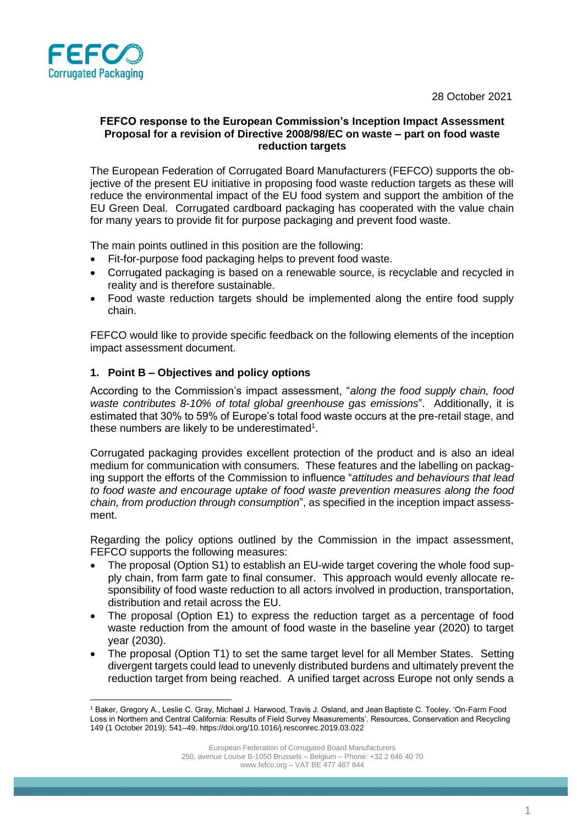28 October 2021



### **FEFCO response to the European Commission's Inception Impact Assessment Proposal for a revision of Directive 2008/98/EC on waste – part on food waste reduction targets**

The European Federation of Corrugated Board Manufacturers (FEFCO) supports the objective of the present EU initiative in proposing food waste reduction targets as these will reduce the environmental impact of the EU food system and support the ambition of the EU Green Deal. Corrugated cardboard packaging has cooperated with the value chain for many years to provide fit for purpose packaging and prevent food waste.

The main points outlined in this position are the following:

- Fit-for-purpose food packaging helps to prevent food waste.
- Corrugated packaging is based on a renewable source, is recyclable and recycled in reality and is therefore sustainable.
- Food waste reduction targets should be implemented along the entire food supply chain.

FEFCO would like to provide specific feedback on the following elements of the inception impact assessment document.

### **1. Point B – Objectives and policy options**

According to the Commission's impact assessment, "*along the food supply chain, food waste contributes 8-10% of total global greenhouse gas emissions*". Additionally, it is estimated that 30% to 59% of Europe's total food waste occurs at the pre-retail stage, and these numbers are likely to be underestimated<sup>1</sup>.

Corrugated packaging provides excellent protection of the product and is also an ideal medium for communication with consumers. These features and the labelling on packaging support the efforts of the Commission to influence "*attitudes and behaviours that lead to food waste and encourage uptake of food waste prevention measures along the food chain, from production through consumption*", as specified in the inception impact assessment.

Regarding the policy options outlined by the Commission in the impact assessment, FEFCO supports the following measures:

- The proposal (Option S1) to establish an EU-wide target covering the whole food supply chain, from farm gate to final consumer. This approach would evenly allocate responsibility of food waste reduction to all actors involved in production, transportation, distribution and retail across the EU.
- The proposal (Option E1) to express the reduction target as a percentage of food waste reduction from the amount of food waste in the baseline year (2020) to target year (2030).
- The proposal (Option T1) to set the same target level for all Member States. Setting divergent targets could lead to unevenly distributed burdens and ultimately prevent the reduction target from being reached. A unified target across Europe not only sends a

<sup>1</sup> Baker, Gregory A., Leslie C. Gray, Michael J. Harwood, Travis J. Osland, and Jean Baptiste C. Tooley. 'On-Farm Food Loss in Northern and Central California: Results of Field Survey Measurements'. Resources, Conservation and Recycling 149 (1 October 2019): 541–49. https://doi.org/10.1016/j.resconrec.2019.03.022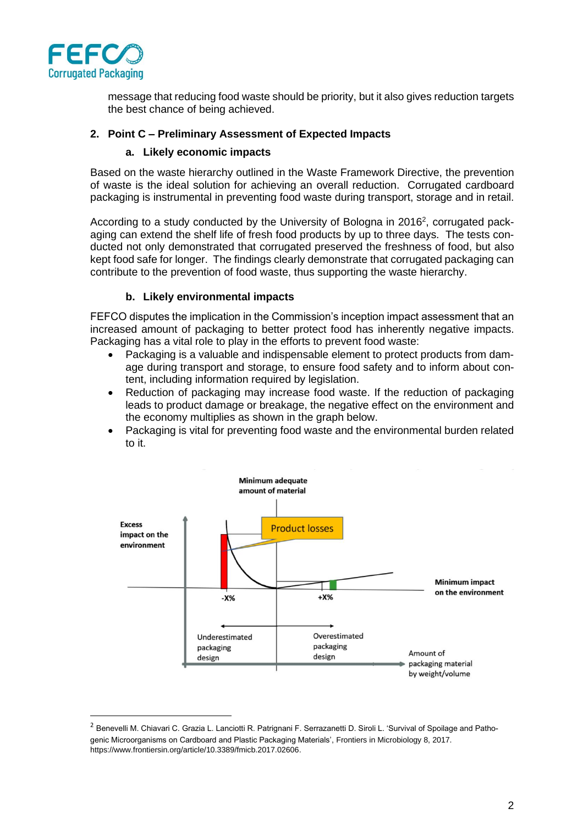

message that reducing food waste should be priority, but it also gives reduction targets the best chance of being achieved.

# **2. Point C – Preliminary Assessment of Expected Impacts**

### **a. Likely economic impacts**

Based on the waste hierarchy outlined in the Waste Framework Directive, the prevention of waste is the ideal solution for achieving an overall reduction. Corrugated cardboard packaging is instrumental in preventing food waste during transport, storage and in retail.

According to a study conducted by the University of Bologna in 2016<sup>2</sup>, corrugated packaging can extend the shelf life of fresh food products by up to three days. The tests conducted not only demonstrated that corrugated preserved the freshness of food, but also kept food safe for longer. The findings clearly demonstrate that corrugated packaging can contribute to the prevention of food waste, thus supporting the waste hierarchy.

## **b. Likely environmental impacts**

FEFCO disputes the implication in the Commission's inception impact assessment that an increased amount of packaging to better protect food has inherently negative impacts. Packaging has a vital role to play in the efforts to prevent food waste:

- Packaging is a valuable and indispensable element to protect products from damage during transport and storage, to ensure food safety and to inform about content, including information required by legislation.
- Reduction of packaging may increase food waste. If the reduction of packaging leads to product damage or breakage, the negative effect on the environment and the economy multiplies as shown in the graph below.
- Packaging is vital for preventing food waste and the environmental burden related to it.



<sup>&</sup>lt;sup>2</sup> Benevelli M. Chiavari C. Grazia L. Lanciotti R. Patrignani F. Serrazanetti D. Siroli L. 'Survival of Spoilage and Pathogenic Microorganisms on Cardboard and Plastic Packaging Materials', Frontiers in Microbiology 8, 2017. https://www.frontiersin.org/article/10.3389/fmicb.2017.02606.